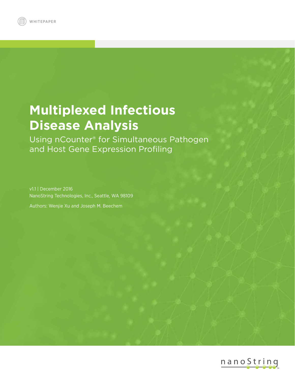# **Multiplexed Infectious Disease Analysis**

Using nCounter® for Simultaneous Pathogen and Host Gene Expression Profiling

v1.1 | December 2016 NanoString Technologies, Inc., Seattle, WA 98109

Authors: Wenjie Xu and Joseph M. Beechem

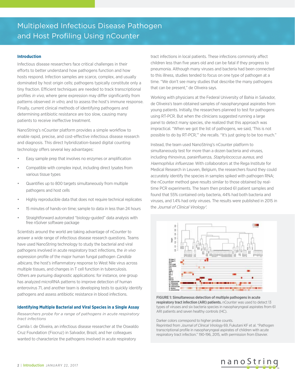## **Introduction**

Infectious disease researchers face critical challenges in their efforts to better understand how pathogens function and how hosts respond. Infection samples are scarce, complex, and usually dominated by host origin cells; pathogens typically constitute only a tiny fraction. Efficient techniques are needed to track transcriptional profiles in vivo, where gene expression may differ significantly from patterns observed *in vitro*, and to assess the host's immune response. Finally, current clinical methods of identifying pathogens and determining antibiotic resistance are too slow, causing many patients to receive ineffective treatment.

NanoString's nCounter platform provides a simple workflow to enable rapid, precise, and cost-effective infectious disease research and diagnosis. This direct hybridization-based digital counting technology offers several key advantages:

- Easy sample prep that involves no enzymes or amplification
- Compatible with complex input, including direct lysates from various tissue types
- Quantifies up to 800 targets simultaneously from multiple pathogens and host cells
- Highly reproducible data that does not require technical replicates
- 15 minutes of hands-on time; sample to data in less than 24 hours
- Straightforward automated "biology-guided" data analysis with free nSolver software package

Scientists around the world are taking advantage of nCounter to answer a wide range of infectious disease research questions. Teams have used NanoString technology to study the bacterial and viral pathogens involved in acute respiratory tract infections, the *in vivo* expression profile of the major human fungal pathogen Candida albicans, the host's inflammatory response to West Nile virus across multiple tissues, and changes in T cell function in tuberculosis. Others are pursuing diagnostic applications: for instance, one group has analyzed microRNA patterns to improve detection of human enterovirus 71, and another team is developing tests to quickly identify pathogens and assess antibiotic resistance in blood infections.

## **Identifying Multiple Bacterial and Viral Species in a Single Assay**

*Researchers probe for a range of pathogens in acute respiratory tract infections* 

Camila I. de Oliveira, an infectious disease researcher at the Oswaldo Cruz Foundation (Fiocruz) in Salvador, Brazil, and her colleagues wanted to characterize the pathogens involved in acute respiratory

tract infections in local patients. These infections commonly affect children less than five years old and can be fatal if they progress to pneumonia. Although many viruses and bacteria had been connected to this illness, studies tended to focus on one type of pathogen at a time. "We don't see many studies that describe the many pathogens that can be present," de Oliveira says.

Working with physicians at the Federal University of Bahia in Salvador, de Oliveira's team obtained samples of nasopharyngeal aspirates from young patients. Initially, the researchers planned to test for pathogens using RT-PCR. But when the clinicians suggested running a large panel to detect many species, she realized that this approach was impractical. "When we got the list of pathogens, we said, 'This is not possible to do by RT-PCR,'" she recalls. "It's just going to be too much."

Instead, the team used NanoString's nCounter platform to simultaneously test for more than a dozen bacteria and viruses, including rhinovirus, parainfluenza, Staphylococcus aureus, and Haemophilus influenzae. With collaborators at the Rega Institute for Medical Research in Leuven, Belgium, the researchers found they could accurately identify the species in samples spiked with pathogen RNA; the nCounter method gave results similar to those obtained by realtime PCR experiments. The team then probed 61 patient samples and found that 55% contained only bacteria, 44% had both bacteria and viruses, and 1.4% had only viruses. The results were published in 2015 in the Journal of Clinical Virology<sup>1</sup>.



**FIGURE 1: Simultaneous detection of multiple pathogens in acute respiratory tract infection (ARI) patients.** nCounter was used to detect 13 types of viruses and six bacteria species in nasopharyngeal aspirates from 61 ARI patients and seven healthy controls (HC).

Darker colors correspond to higher probe counts.

Reprinted from Journal of Clinical Virology 69, Fukutani KF et al. "Pathogen transcriptional profile in nasopharyngeal aspirates of children with acute respiratory tract infection." 190-196, 2015, with permission from Elsevier.

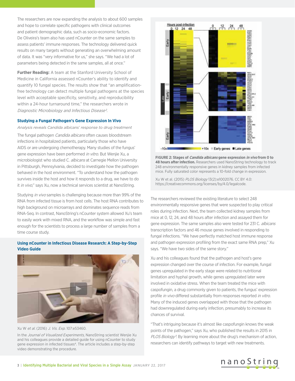The researchers are now expanding the analysis to about 600 samples and hope to correlate specific pathogens with clinical outcomes and patient demographic data, such as socio-economic factors. De Oliveira's team also has used nCounter on the same samples to assess patients' immune responses. The technology delivered quick results on many targets without generating an overwhelming amount of data. It was "very informative for us," she says. "We had a lot of parameters being detected in the same samples, all at once."

**Further Reading:** A team at the Stanford University School of Medicine in California assessed nCounter's ability to identify and quantify 10 fungal species. The results show that "an amplificationfree technology can detect multiple fungal pathogens at the species level with acceptable specificity, sensitivity, and reproducibility within a 24-hour turnaround time," the researchers wrote in Diagnostic Microbiology and Infectious Disease<sup>2</sup>.

## **Studying a Fungal Pathogen's Gene Expression In Vivo**

*Analysis reveals Candida albicans' response to drug treatment* The fungal pathogen *Candida albicans* often causes bloodstream infections in hospitalized patients, particularly those who have AIDS or are undergoing chemotherapy. Many studies of the fungus' gene expression have been performed in vitro. But Wenjie Xu, a microbiologist who studied C. albicans at Carnegie Mellon University in Pittsburgh, Pennsylvania, decided to investigate how the pathogen behaved in the host environment. "To understand how the pathogen survives inside the host and how it responds to a drug, we have to do it in vivo," says Xu, now a technical services scientist at NanoString.

Studying in vivo samples is challenging because more than 99% of the RNA from infected tissue is from host cells. The host RNA contributes to high background on microarrays and dominates sequence reads from RNA-Seq. In contrast, NanoString's nCounter system allowed Xu's team to easily work with mixed RNA, and the workflow was simple and fast enough for the scientists to process a large number of samples from a time course study.

# **Using nCounter in Infectious Disease Research: A Step-by-Step Video Guide**





In the Journal of Visualized Experiments, NanoString scientist Wenjie Xu and his colleagues provide a detailed guide for using nCounter to study gene expression in infected tissues<sup>4</sup>. The article includes a step-by-step video demonstrating the procedure.



**FIGURE 2: Stages of Candida albicans gene expression in vivo from 0 to 48 hours after infection.** Researchers used NanoString technology to track 248 environmentally responsive genes in kidney samples from infected mice. Fully saturated color represents a 10-fold change in expression.

Xu W et al. (2015) PLOS Biology 13(2):e1002076. CC BY 4.0: https://creativecommons.org/licenses/by/4.0/legalcode.

The researchers reviewed the existing literature to select 248 environmentally responsive genes that were suspected to play critical roles during infection. Next, the team collected kidney samples from mice at 0, 12, 24, and 48 hours after infection and assayed them for gene expression. The same samples also were tested for 231 C. albicans transcription factors and 46 mouse genes involved in responding to fungal infections. "We have perfectly matched host immune response and pathogen expression profiling from the exact same RNA prep," Xu says. "We have two sides of the same story."

Xu and his colleagues found that the pathogen and host's gene expression changed over the course of infection. For example, fungal genes upregulated in the early stage were related to nutritional limitation and hyphal growth, while genes upregulated later were involved in oxidative stress. When the team treated the mice with caspofungin, a drug commonly given to patients, the fungus' expression profile in vivo differed substantially from responses reported in vitro. Many of the induced genes overlapped with those that the pathogen had downregulated during early infection, presumably to increase its chances of survival.

"That's intriguing because it's almost like caspofungin knows the weak points of the pathogen," says Xu, who published the results in 2015 in PLOS Biology<sup>3</sup>. By learning more about the drug's mechanism of action, researchers can identify pathways to target with new treatments.

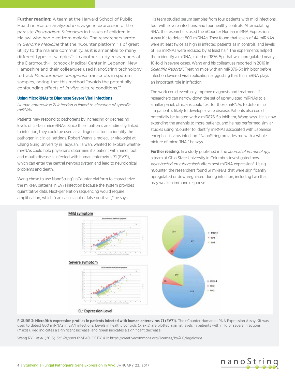**Further reading:** A team at the Harvard School of Public Health in Boston analyzed *in vivo* gene expression of the parasite Plasmodium falciparum in tissues of children in Malawi who had died from malaria. The researchers wrote in Genome Medicine that the nCounter platform "is of great utility to the malaria community, as it is amenable to many different types of samples"<sup>5</sup>. In another study, researchers at the Dartmouth-Hitchcock Medical Center in Lebanon, New Hampshire and their colleagues used NanoString technology to track Pseudomonas aeruginosa transcripts in sputum samples, noting that this method "avoids the potentially confounding effects of in vitro culture conditions."6

## **Using MicroRNAs to Diagnose Severe Viral Infections**

*Human enterovirus 71 infection is linked to elevation of specific miRNAs*

Patients may respond to pathogens by increasing or decreasing levels of certain microRNAs. Since these patterns are indirectly linked to infection, they could be used as a diagnostic tool to identify the pathogen in clinical settings. Robert Wang, a molecular virologist at Chang Gung University in Taoyuan, Taiwan, wanted to explore whether miRNAs could help physicians determine if a patient with hand, foot, and mouth disease is infected with human enterovirus 71 (EV71), which can enter the central nervous system and lead to neurological problems and death.

Wang chose to use NanoString's nCounter platform to characterize the miRNA patterns in EV71 infection because the system provides quantitative data. Next-generation sequencing would require amplification, which "can cause a lot of false positives," he says.

His team studied serum samples from four patients with mild infections, four with severe infections, and four healthy controls. After isolating RNA, the researchers used the nCounter Human miRNA Expression Assay Kit to detect 800 miRNAs. They found that levels of 44 miRNAs were at least twice as high in infected patients as in controls, and levels of 133 miRNAs were reduced by at least half. The experiments helped them identify a miRNA, called miR876-5p, that was upregulated nearly 10-fold in severe cases, Wang and his colleagues reported in 2016 in Scientific Reports<sup>7</sup>. Treating mice with an miR876-5p inhibitor before infection lowered viral replication, suggesting that this miRNA plays an important role in infection.

The work could eventually improve diagnosis and treatment. If researchers can narrow down the set of upregulated miRNAs to a smaller panel, clinicians could test for those miRNAs to determine if a patient is likely to develop severe disease. Patients also could potentially be treated with a miR876-5p inhibitor, Wang says. He is now extending the analysis to more patients, and he has performed similar studies using nCounter to identify miRNAs associated with Japanese encephalitis virus infection. "NanoString provides me with a whole picture of microRNA," he says.

**Further reading**: In a study published in the *Journal of Immunology*, a team at Ohio State University in Columbus investigated how Mycobacterium tuberculosis alters host miRNA expression<sup>8</sup>. Using nCounter, the researchers found 31 miRNAs that were significantly upregulated or downregulated during infection, including two that may weaken immune response.



FIGURE 3: MicroRNA expression profiles in patients infected with human enterovirus 71 (EV71). The nCounter Human miRNA Expression Assay Kit was used to detect 800 miRNAs in EV71 infections. Levels in healthy controls (X axis) are plotted against levels in patients with mild or severe infections (Y axis). Red indicates a significant increase, and green indicates a significant decrease.

Wang RYL et al. (2016) Sci. Reports 6:24149. CC BY 4.0: https://creativecommons.org/licenses/by/4.0/legalcode.

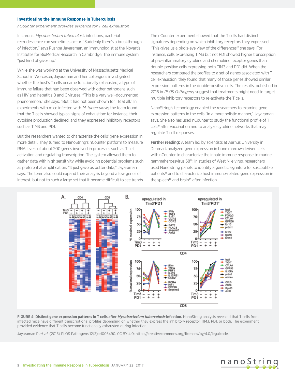#### **Investigating the Immune Response in Tuberculosis**

*nCounter experiment provides evidence for T cell exhaustion*

In chronic Mycobacterium tuberculosis infections, bacterial recrudescence can sometimes occur. "Suddenly there's a breakthrough of infection," says Pushpa Jayaraman, an immunologist at the Novartis Institutes for BioMedical Research in Cambridge. The immune system "just kind of gives up."

While she was working at the University of Massachusetts Medical School in Worcester, Jayaraman and her colleagues investigated whether the host's T cells became functionally exhausted, a type of immune failure that had been observed with other pathogens such as HIV and hepatitis B and C viruses. "This is a very well-documented phenomenon," she says. "But it had not been shown for TB at all." In experiments with mice infected with M. tuberculosis, the team found that the T cells showed typical signs of exhaustion: for instance, their cytokine production declined, and they expressed inhibitory receptors such as TIM3 and PD1.

But the researchers wanted to characterize the cells' gene expression in more detail. They turned to NanoString's nCounter platform to measure RNA levels of about 200 genes involved in processes such as T cell activation and regulating transcription. The system allowed them to gather data with high sensitivity while avoiding potential problems such as preferential amplification. "It just gave us better data," Jayaraman says. The team also could expand their analysis beyond a few genes of interest, but not to such a large set that it became difficult to see trends. The nCounter experiment showed that the T cells had distinct signatures depending on which inhibitory receptors they expressed. "This gives us a bird's-eye view of the differences," she says. For instance, cells expressing TIM3 but not PD1 showed higher transcription of pro-inflammatory cytokine and chemokine receptor genes than double-positive cells expressing both TIM3 and PD1 did. When the researchers compared the profiles to a set of genes associated with T cell exhaustion, they found that many of those genes showed similar expression patterns in the double-positive cells. The results, published in 2016 in PLOS Pathogens, suggest that treatments might need to target multiple inhibitory receptors to re-activate the T cells.

NanoString's technology enabled the researchers to examine gene expression patterns in the cells "in a more holistic manner," Jayaraman says. She also has used nCounter to study the functional profile of T cells<sup>9</sup> after vaccination and to analyze cytokine networks that may regulate T cell responses.

**Further reading:** A team led by scientists at Aarhus University in Denmark analyzed gene expression in bone marrow-derived cells with nCounter to characterize the innate immune response to murine gammaherpesvirus 6810. In studies of West Nile virus, researchers used NanoString panels to identify a genetic signature for susceptible patients<sup>11</sup> and to characterize host immune-related gene expression in the spleen<sup>12</sup> and brain<sup>13</sup> after infection.



**FIGURE 4: Distinct gene expression patterns in T cells after Mycobacterium tuberculosis infection.** NanoString analysis revealed that T cells from infected mice have different transcriptional profiles depending on whether they express the inhibitory receptor TIM3, PD1, or both. The experiment provided evidence that T cells become functionally exhausted during infection.

Jayaraman P *et al*. (2016) PLOS Pathogens 12(3):e1005490. CC BY 4.0: https://creativecommons.org/licenses/by/4.0/legalcode.

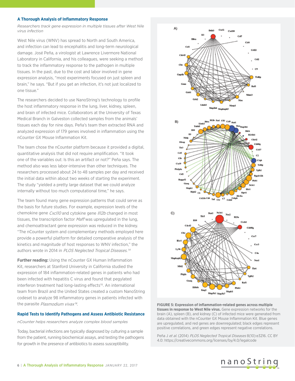#### **A Thorough Analysis of Inflammatory Response**

*Researchers track gene expression in multiple tissues after West Nile virus infection*

West Nile virus (WNV) has spread to North and South America, and infection can lead to encephalitis and long-term neurological damage. José Peña, a virologist at Lawrence Livermore National Laboratory in California, and his colleagues, were seeking a method to track the inflammatory response to the pathogen in multiple tissues. In the past, due to the cost and labor involved in gene expression analysis, "most experiments focused on just spleen and brain," he says. "But if you get an infection, it's not just localized to one tissue."

The researchers decided to use NanoString's technology to profile the host inflammatory response in the lung, liver, kidney, spleen, and brain of infected mice. Collaborators at the University of Texas Medical Branch in Galveston collected samples from the animals' tissues each day for nine days. Peña's team then extracted RNA and analyzed expression of 179 genes involved in inflammation using the nCounter GX Mouse Inflammation Kit.

The team chose the nCounter platform because it provided a digital, quantitative analysis that did not require amplification. "It took one of the variables out: Is this an artifact or not?" Peña says. The method also was less labor-intensive than other techniques. The researchers processed about 24 to 48 samples per day and received the initial data within about two weeks of starting the experiment. The study "yielded a pretty large dataset that we could analyze internally without too much computational time," he says.

The team found many gene expression patterns that could serve as the basis for future studies. For example, expression levels of the chemokine gene Cxcl10 and cytokine gene Il12b changed in most tissues, the transcription factor Maff was upregulated in the lung, and chemoattractant gene expression was reduced in the kidney. "The nCounter system and complementary methods employed here provide a powerful platform for detailed comparative analysis of the kinetics and magnitude of host responses to WNV infection," the authors wrote in 2014 in PLOS Neglected Tropical Diseases.<sup>14</sup>

**Further reading:** Using the nCounter GX Human Inflammation Kit, researchers at Stanford University in California studied the expression of 184 inflammation-related genes in patients who had been infected with hepatitis C virus and found that pegylated interferon treatment had long-lasting effects<sup>15</sup>. An international team from Brazil and the United States created a custom NanoString codeset to analyze 98 inflammatory genes in patients infected with the parasite Plasmodium vivax<sup>16</sup>.

#### **Rapid Tests to Identify Pathogens and Assess Antibiotic Resistance**

*nCounter helps researchers analyze complex blood samples*

Today, bacterial infections are typically diagnosed by culturing a sample from the patient, running biochemical assays, and testing the pathogens for growth in the presence of antibiotics to assess susceptibility.



**FIGURE 5: Expression of inflammation-related genes across multiple tissues in response to West Nile virus.** Gene expression networks for the brain (A), spleen (B), and kidney (C) of infected mice were generated from data obtained with the nCounter GX Mouse Inflammation Kit. Blue genes are upregulated, and red genes are downregulated; black edges represent positive correlations, and green edges represent negative correlations.

Peña J et al. (2014) PLOS Neglected Tropical Diseases 8(10):e3216. CC BY 4.0: https://creativecommons.org/licenses/by/4.0/legalcode

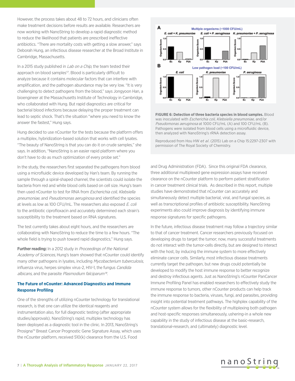However, the process takes about 48 to 72 hours, and clinicians often make treatment decisions before results are available. Researchers are now working with NanoString to develop a rapid diagnostic method to reduce the likelihood that patients are prescribed ineffective antibiotics. "There are mortality costs with getting a slow answer," says Deborah Hung, an infectious disease researcher at the Broad Institute in Cambridge, Massachusetts.

In a 2015 study published in *Lab on a Chip*, the team tested their approach on blood samples<sup>17</sup>. Blood is particularly difficult to analyze because it contains molecular factors that can interfere with amplification, and the pathogen abundance may be very low. "It is very challenging to detect pathogens from the blood," says Jongyoon Han, a bioengineer at the Massachusetts Institute of Technology in Cambridge, who collaborated with Hung. But rapid diagnostics are critical for bacterial blood infections because delaying the proper treatment can lead to septic shock. That's the situation "where you need to know the answer the fastest," Hung says.

Hung decided to use nCounter for the tests because the platform offers a multiplex, hybridization-based solution that works with cell lysates. "The beauty of NanoString is that you can do it on crude samples," she says. In addition, "NanoString is an easier rapid platform where you don't have to do as much optimization of every probe set."

In the study, the researchers first separated the pathogens from blood using a microfluidic device developed by Han's team. By running the sample through a spiral-shaped channel, the scientists could isolate the bacteria from red and white blood cells based on cell size. Hung's team then used nCounter to test for RNA from Escherichia coli, Klebsiella pneumoniae, and Pseudomonas aeruginosa and identified the species at levels as low as 100 CFU/mL. The researchers also exposed E. coli to the antibiotic ciprofloxacin and accurately determined each strain's susceptibility to the treatment based on RNA signatures.

The test currently takes about eight hours, and the researchers are collaborating with NanoString to reduce the time to a few hours. "The whole field is trying to push toward rapid diagnostics," Hung says.

**Further reading:** In a 2012 study in Proceedings of the National Academy of Sciences, Hung's team showed that nCounter could identify many other pathogens in lysates, including Mycobacterium tuberculosis, influenza virus, herpes simplex virus-2, HIV-1, the fungus Candida albicans, and the parasite Plasmodium falciparum<sup>18</sup>.

# **The Future of nCounter: Advanced Diagnostics and Immune Response Profiling**

One of the strengths of utilizing nCounter technology for translational research, is that one can utilize the identical reagents and instrumentation also, for full diagnostic testing (after appropriate studies/approvals). NanoString's rapid, multiplex technology has been deployed as a diagnostic tool in the clinic. In 2013, NanoString's Prosigna™ Breast Cancer Prognostic Gene Signature Assay, which uses the nCounter platform, received 510(k) clearance from the U.S. Food



**FIGURE 6: Detection of three bacteria species in blood samples.** Blood was inoculated with Escherichia coli, Klebsiella pneumoniae, and/or Pseudomonas aeruginosa at 1000 CFU/mL (A) and 100 CFU/mL (B). Pathogens were isolated from blood cells using a microfluidic device, then analyzed with NanoString's rRNA detection assay.

Reproduced from Hou HW *et al*. (2015) Lab on a Chip 15:2297-2307 with permission of The Royal Society of Chemistry.

and Drug Administration (FDA). Since this original FDA clearance, three additional multiplexed gene expression assays have received clearance on the nCounter platform to perform patient stratification in cancer treatment clinical trials. As described in this report, multiple studies have demonstrated that nCounter can accurately and simultaneously detect multiple bacterial, viral, and fungal species, as well as transcriptional profiles of antibiotic susceptibility. NanoString experiments also could improve diagnosis by identifying immune response signatures for specific pathogens.

In the future, infectious disease treatment may follow a trajectory similar to that of cancer treatment. Cancer researchers previously focused on developing drugs to target the tumor; now, many successful treatments do not interact with the tumor-cells directly, but are designed to interact with the host, by inducing the immune system to more effectively eliminate cancer cells. Similarly, most infectious disease treatments currently target the pathogen, but new drugs could potentially be developed to modify the host immune response to better recognize and destroy infectious agents. Just as NanoString's nCounter PanCancer Immune Profiling Panel has enabled researchers to effectively study the immune response to tumors, other nCounter products can help track the immune response to bacteria, viruses, fungi, and parasites, providing insight into potential treatment pathways. The highplex capability of the nCounter system allows for the flexibility of multiplexing both pathogen and host-specific responses simultaneously, ushering-in a whole new capability in the study of infectious disease at the basic-research, translational-research, and (ultimately) diagnostic level.